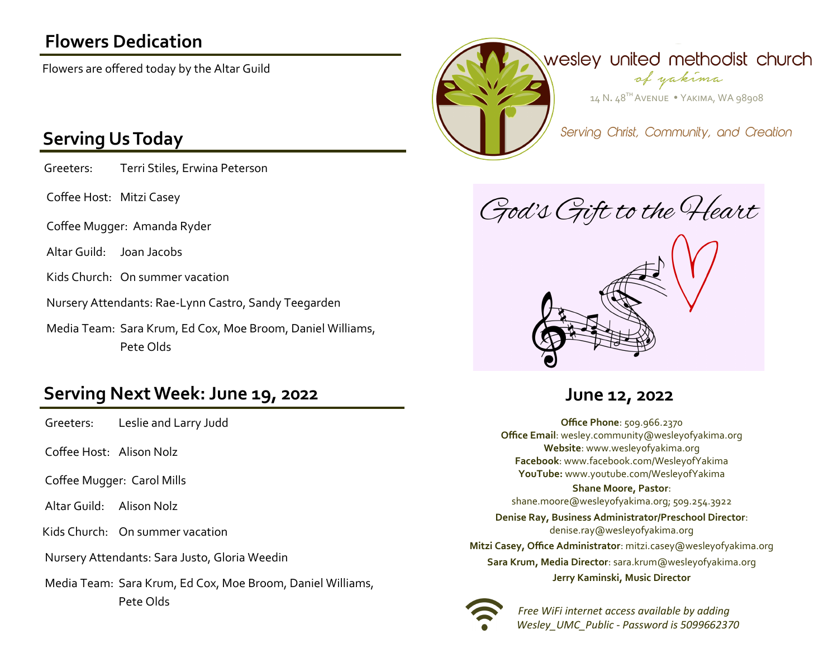## **Flowers Dedication**

Flowers are offered today by the Altar Guild

### **Serving Us Today**

Greeters: Terri Stiles, Erwina Peterson

Coffee Host: Mitzi Casey

Coffee Mugger: Amanda Ryder

Altar Guild: Joan Jacobs

Kids Church: On summer vacation

Nursery Attendants: Rae-Lynn Castro, Sandy Teegarden

Media Team: Sara Krum, Ed Cox, Moe Broom, Daniel Williams, Pete Olds

### **Serving Next Week: June 19, 2022 June 12, 2022**

Greeters: Leslie and Larry Judd

Coffee Host: Alison Nolz

Coffee Mugger: Carol Mills

Altar Guild: Alison Nolz

Kids Church: On summer vacation

Nursery Attendants: Sara Justo, Gloria Weedin

Media Team: Sara Krum, Ed Cox, Moe Broom, Daniel Williams, Pete Olds



God's Gift to the Heart



**Office Phone**: 509.966.2370 **Office Email**: wesley.community@wesleyofyakima.org **Website**: www.wesleyofyakima.org **Facebook**: www.facebook.com/WesleyofYakima **YouTube:** www.youtube.com/WesleyofYakima

### **Shane Moore, Pastor**:

shane.moore@wesleyofyakima.org; 509.254.3922

**Denise Ray, Business Administrator/Preschool Director**: denise.ray@wesleyofyakima.org **Mitzi Casey, Office Administrator**: mitzi.casey@wesleyofyakima.org **Sara Krum, Media Director**: sara.krum@wesleyofyakima.org **Jerry Kaminski, Music Director**



 *Free WiFi internet access available by adding Wesley\_UMC\_Public - Password is 5099662370*